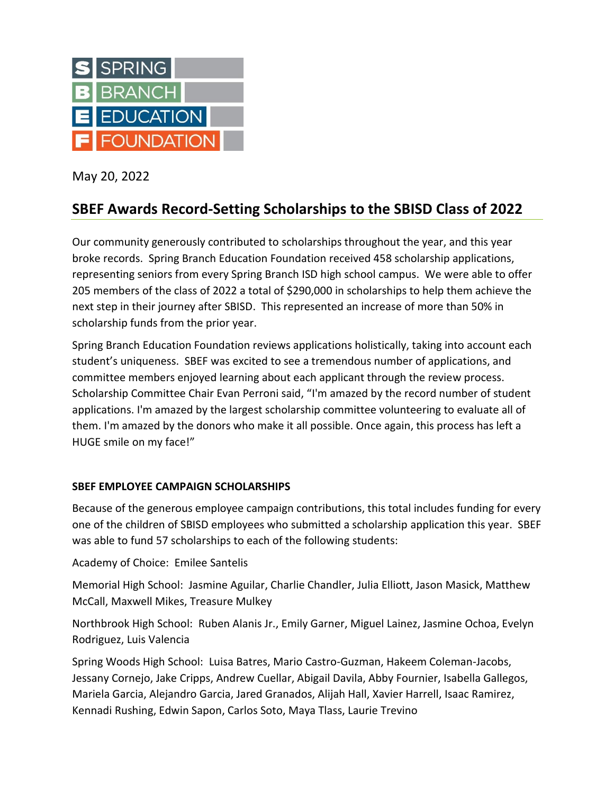

May 20, 2022

# **SBEF Awards Record-Setting Scholarships to the SBISD Class of 2022**

Our community generously contributed to scholarships throughout the year, and this year broke records. Spring Branch Education Foundation received 458 scholarship applications, representing seniors from every Spring Branch ISD high school campus. We were able to offer 205 members of the class of 2022 a total of \$290,000 in scholarships to help them achieve the next step in their journey after SBISD. This represented an increase of more than 50% in scholarship funds from the prior year.

Spring Branch Education Foundation reviews applications holistically, taking into account each student's uniqueness. SBEF was excited to see a tremendous number of applications, and committee members enjoyed learning about each applicant through the review process. Scholarship Committee Chair Evan Perroni said, "I'm amazed by the record number of student applications. I'm amazed by the largest scholarship committee volunteering to evaluate all of them. I'm amazed by the donors who make it all possible. Once again, this process has left a HUGE smile on my face!"

# **SBEF EMPLOYEE CAMPAIGN SCHOLARSHIPS**

Because of the generous employee campaign contributions, this total includes funding for every one of the children of SBISD employees who submitted a scholarship application this year. SBEF was able to fund 57 scholarships to each of the following students:

Academy of Choice: Emilee Santelis

Memorial High School: Jasmine Aguilar, Charlie Chandler, Julia Elliott, Jason Masick, Matthew McCall, Maxwell Mikes, Treasure Mulkey

Northbrook High School: Ruben Alanis Jr., Emily Garner, Miguel Lainez, Jasmine Ochoa, Evelyn Rodriguez, Luis Valencia

Spring Woods High School: Luisa Batres, Mario Castro-Guzman, Hakeem Coleman-Jacobs, Jessany Cornejo, Jake Cripps, Andrew Cuellar, Abigail Davila, Abby Fournier, Isabella Gallegos, Mariela Garcia, Alejandro Garcia, Jared Granados, Alijah Hall, Xavier Harrell, Isaac Ramirez, Kennadi Rushing, Edwin Sapon, Carlos Soto, Maya Tlass, Laurie Trevino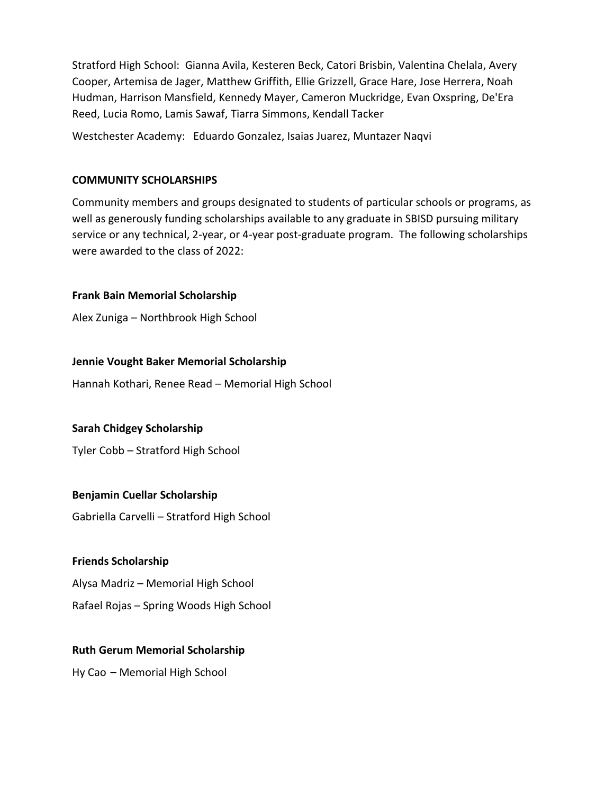Stratford High School: Gianna Avila, Kesteren Beck, Catori Brisbin, Valentina Chelala, Avery Cooper, Artemisa de Jager, Matthew Griffith, Ellie Grizzell, Grace Hare, Jose Herrera, Noah Hudman, Harrison Mansfield, Kennedy Mayer, Cameron Muckridge, Evan Oxspring, De'Era Reed, Lucia Romo, Lamis Sawaf, Tiarra Simmons, Kendall Tacker

Westchester Academy: Eduardo Gonzalez, Isaias Juarez, Muntazer Naqvi

### **COMMUNITY SCHOLARSHIPS**

Community members and groups designated to students of particular schools or programs, as well as generously funding scholarships available to any graduate in SBISD pursuing military service or any technical, 2-year, or 4-year post-graduate program. The following scholarships were awarded to the class of 2022:

# **Frank Bain Memorial Scholarship**

Alex Zuniga – Northbrook High School

# **Jennie Vought Baker Memorial Scholarship**

Hannah Kothari, Renee Read – Memorial High School

# **Sarah Chidgey Scholarship**

Tyler Cobb – Stratford High School

# **Benjamin Cuellar Scholarship**

Gabriella Carvelli – Stratford High School

# **Friends Scholarship**

Alysa Madriz – Memorial High School

Rafael Rojas – Spring Woods High School

# **Ruth Gerum Memorial Scholarship**

Hy Cao – Memorial High School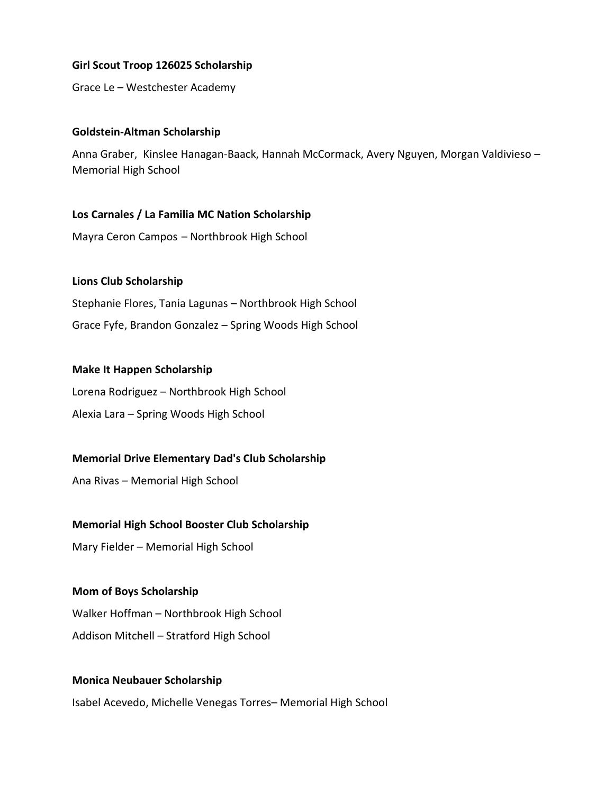# **Girl Scout Troop 126025 Scholarship**

Grace Le – Westchester Academy

#### **Goldstein-Altman Scholarship**

Anna Graber, Kinslee Hanagan-Baack, Hannah McCormack, Avery Nguyen, Morgan Valdivieso – Memorial High School

### **Los Carnales / La Familia MC Nation Scholarship**

Mayra Ceron Campos – Northbrook High School

# **Lions Club Scholarship**

Stephanie Flores, Tania Lagunas – Northbrook High School Grace Fyfe, Brandon Gonzalez – Spring Woods High School

### **Make It Happen Scholarship**

Lorena Rodriguez – Northbrook High School Alexia Lara – Spring Woods High School

# **Memorial Drive Elementary Dad's Club Scholarship**

Ana Rivas – Memorial High School

# **Memorial High School Booster Club Scholarship**

Mary Fielder – Memorial High School

# **Mom of Boys Scholarship** Walker Hoffman – Northbrook High School Addison Mitchell – Stratford High School

# **Monica Neubauer Scholarship**

Isabel Acevedo, Michelle Venegas Torres– Memorial High School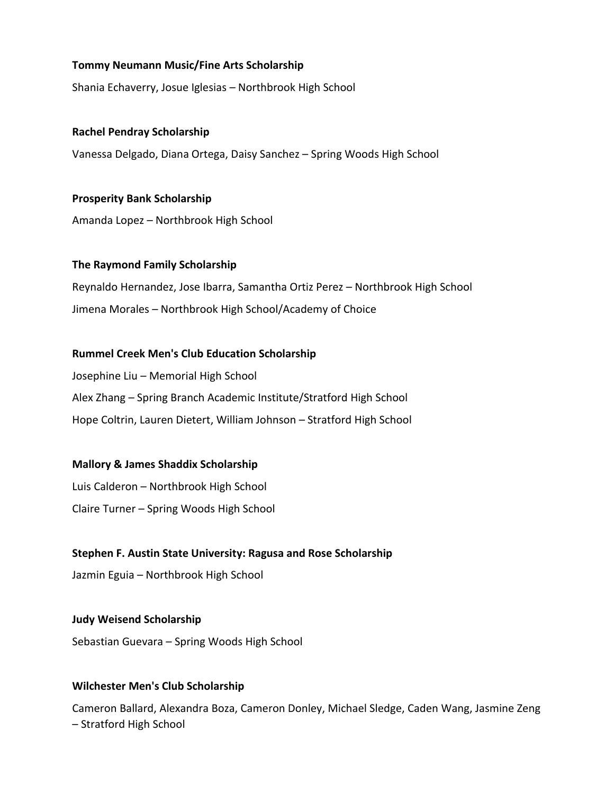# **Tommy Neumann Music/Fine Arts Scholarship**

Shania Echaverry, Josue Iglesias – Northbrook High School

**Rachel Pendray Scholarship** Vanessa Delgado, Diana Ortega, Daisy Sanchez – Spring Woods High School

**Prosperity Bank Scholarship** Amanda Lopez – Northbrook High School

**The Raymond Family Scholarship**

Reynaldo Hernandez, Jose Ibarra, Samantha Ortiz Perez – Northbrook High School Jimena Morales – Northbrook High School/Academy of Choice

### **Rummel Creek Men's Club Education Scholarship**

Josephine Liu – Memorial High School Alex Zhang – Spring Branch Academic Institute/Stratford High School Hope Coltrin, Lauren Dietert, William Johnson – Stratford High School

#### **Mallory & James Shaddix Scholarship**

Luis Calderon – Northbrook High School Claire Turner – Spring Woods High School

#### **Stephen F. Austin State University: Ragusa and Rose Scholarship**

Jazmin Eguia – Northbrook High School

**Judy Weisend Scholarship**

Sebastian Guevara – Spring Woods High School

#### **Wilchester Men's Club Scholarship**

Cameron Ballard, Alexandra Boza, Cameron Donley, Michael Sledge, Caden Wang, Jasmine Zeng – Stratford High School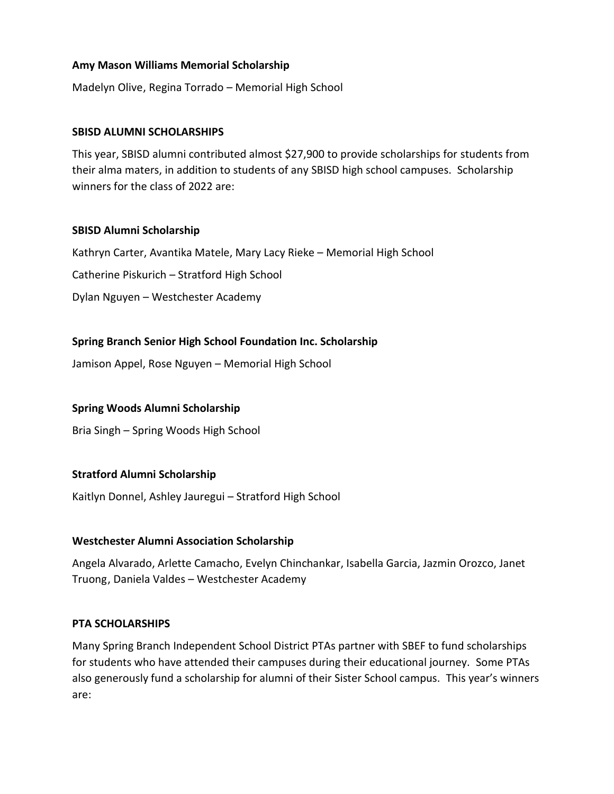# **Amy Mason Williams Memorial Scholarship**

Madelyn Olive, Regina Torrado – Memorial High School

## **SBISD ALUMNI SCHOLARSHIPS**

This year, SBISD alumni contributed almost \$27,900 to provide scholarships for students from their alma maters, in addition to students of any SBISD high school campuses. Scholarship winners for the class of 2022 are:

### **SBISD Alumni Scholarship**

Kathryn Carter, Avantika Matele, Mary Lacy Rieke – Memorial High School Catherine Piskurich – Stratford High School Dylan Nguyen – Westchester Academy

# **Spring Branch Senior High School Foundation Inc. Scholarship**

Jamison Appel, Rose Nguyen – Memorial High School

# **Spring Woods Alumni Scholarship**

Bria Singh – Spring Woods High School

# **Stratford Alumni Scholarship**

Kaitlyn Donnel, Ashley Jauregui – Stratford High School

# **Westchester Alumni Association Scholarship**

Angela Alvarado, Arlette Camacho, Evelyn Chinchankar, Isabella Garcia, Jazmin Orozco, Janet Truong, Daniela Valdes – Westchester Academy

# **PTA SCHOLARSHIPS**

Many Spring Branch Independent School District PTAs partner with SBEF to fund scholarships for students who have attended their campuses during their educational journey. Some PTAs also generously fund a scholarship for alumni of their Sister School campus. This year's winners are: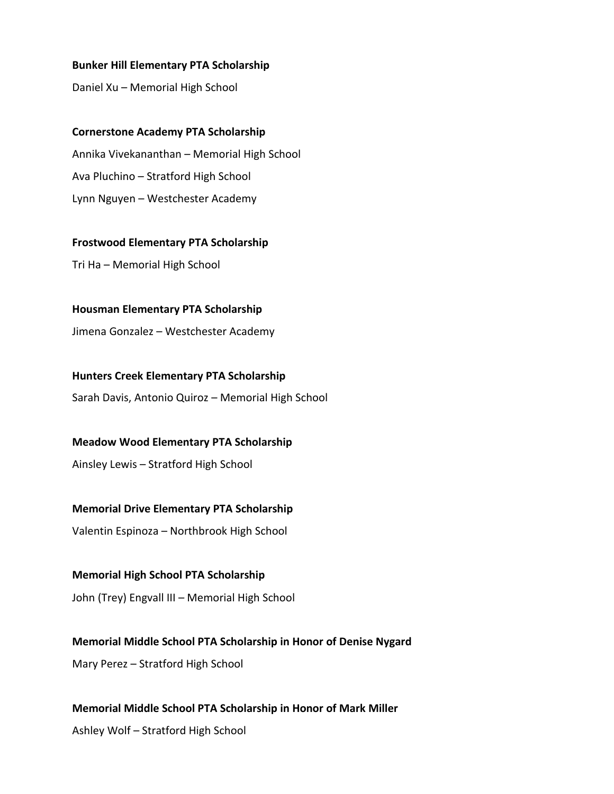#### **Bunker Hill Elementary PTA Scholarship**

Daniel Xu – Memorial High School

**Cornerstone Academy PTA Scholarship** Annika Vivekananthan – Memorial High School Ava Pluchino – Stratford High School Lynn Nguyen – Westchester Academy

**Frostwood Elementary PTA Scholarship** Tri Ha – Memorial High School

**Housman Elementary PTA Scholarship**

Jimena Gonzalez – Westchester Academy

**Hunters Creek Elementary PTA Scholarship** Sarah Davis, Antonio Quiroz – Memorial High School

**Meadow Wood Elementary PTA Scholarship**

Ainsley Lewis – Stratford High School

**Memorial Drive Elementary PTA Scholarship**

Valentin Espinoza – Northbrook High School

**Memorial High School PTA Scholarship** John (Trey) Engvall III – Memorial High School

**Memorial Middle School PTA Scholarship in Honor of Denise Nygard** Mary Perez – Stratford High School

**Memorial Middle School PTA Scholarship in Honor of Mark Miller** Ashley Wolf – Stratford High School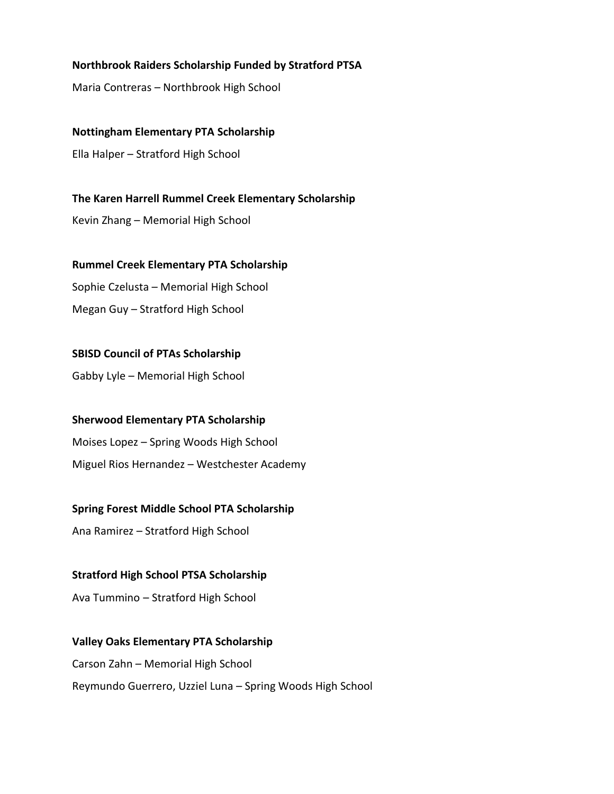# **Northbrook Raiders Scholarship Funded by Stratford PTSA**

Maria Contreras – Northbrook High School

**Nottingham Elementary PTA Scholarship** Ella Halper – Stratford High School

**The Karen Harrell Rummel Creek Elementary Scholarship** Kevin Zhang – Memorial High School

**Rummel Creek Elementary PTA Scholarship** Sophie Czelusta – Memorial High School Megan Guy – Stratford High School

**SBISD Council of PTAs Scholarship** Gabby Lyle – Memorial High School

**Sherwood Elementary PTA Scholarship** Moises Lopez – Spring Woods High School Miguel Rios Hernandez – Westchester Academy

#### **Spring Forest Middle School PTA Scholarship**

Ana Ramirez – Stratford High School

**Stratford High School PTSA Scholarship**

Ava Tummino – Stratford High School

**Valley Oaks Elementary PTA Scholarship** Carson Zahn – Memorial High School Reymundo Guerrero, Uzziel Luna – Spring Woods High School